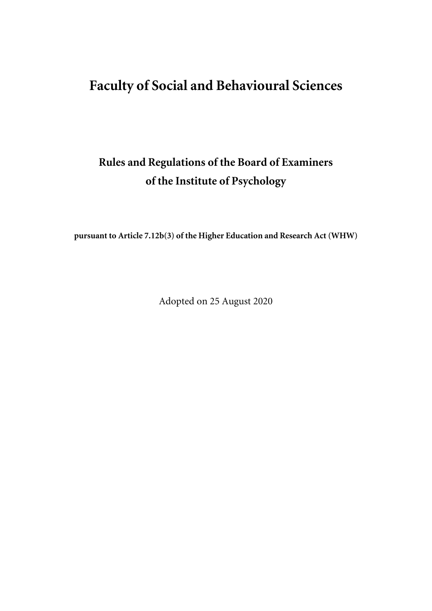# **Faculty of Social and Behavioural Sciences**

# **Rules and Regulations of the Board of Examiners of the Institute of Psychology**

**pursuant to Article 7.12b(3) of the Higher Education and Research Act (WHW)**

Adopted on 25 August 2020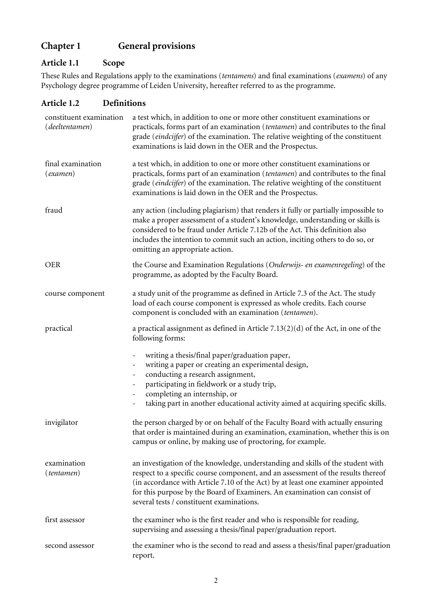# **Chapter 1 General provisions**

# **Article 1.1 Scope**

These Rules and Regulations apply to the examinations (*tentamens*) and final examinations (*examens*) of any Psychology degree programme of Leiden University, hereafter referred to as the programme.

### **Article 1.2 Definitions**

| constituent examination<br>(deeltentamen) | a test which, in addition to one or more other constituent examinations or<br>practicals, forms part of an examination (tentamen) and contributes to the final<br>grade (eindcijfer) of the examination. The relative weighting of the constituent<br>examinations is laid down in the OER and the Prospectus.                                                                                                                                                                |
|-------------------------------------------|-------------------------------------------------------------------------------------------------------------------------------------------------------------------------------------------------------------------------------------------------------------------------------------------------------------------------------------------------------------------------------------------------------------------------------------------------------------------------------|
| final examination<br>(examen)             | a test which, in addition to one or more other constituent examinations or<br>practicals, forms part of an examination (tentamen) and contributes to the final<br>grade (eindcijfer) of the examination. The relative weighting of the constituent<br>examinations is laid down in the OER and the Prospectus.                                                                                                                                                                |
| fraud                                     | any action (including plagiarism) that renders it fully or partially impossible to<br>make a proper assessment of a student's knowledge, understanding or skills is<br>considered to be fraud under Article 7.12b of the Act. This definition also<br>includes the intention to commit such an action, inciting others to do so, or<br>omitting an appropriate action.                                                                                                        |
| <b>OER</b>                                | the Course and Examination Regulations (Onderwijs- en examentegeling) of the<br>programme, as adopted by the Faculty Board.                                                                                                                                                                                                                                                                                                                                                   |
| course component                          | a study unit of the programme as defined in Article 7.3 of the Act. The study<br>load of each course component is expressed as whole credits. Each course<br>component is concluded with an examination (tentamen).                                                                                                                                                                                                                                                           |
| practical                                 | a practical assignment as defined in Article $7.13(2)(d)$ of the Act, in one of the<br>following forms:                                                                                                                                                                                                                                                                                                                                                                       |
|                                           | writing a thesis/final paper/graduation paper,<br>$\overline{\phantom{0}}$<br>writing a paper or creating an experimental design,<br>$\overline{\phantom{0}}$<br>conducting a research assignment,<br>$\overline{\phantom{0}}$<br>participating in fieldwork or a study trip,<br>$\overline{\phantom{0}}$<br>completing an internship, or<br>$\overline{\phantom{0}}$<br>taking part in another educational activity aimed at acquiring specific skills.<br>$\qquad \qquad -$ |
| invigilator                               | the person charged by or on behalf of the Faculty Board with actually ensuring<br>that order is maintained during an examination, examination, whether this is on<br>campus or online, by making use of proctoring, for example.                                                                                                                                                                                                                                              |
| examination<br>(tentamen)                 | an investigation of the knowledge, understanding and skills of the student with<br>respect to a specific course component, and an assessment of the results thereof<br>(in accordance with Article 7.10 of the Act) by at least one examiner appointed<br>for this purpose by the Board of Examiners. An examination can consist of<br>several tests / constituent examinations.                                                                                              |
| first assessor                            | the examiner who is the first reader and who is responsible for reading,<br>supervising and assessing a thesis/final paper/graduation report.                                                                                                                                                                                                                                                                                                                                 |
| second assessor                           | the examiner who is the second to read and assess a thesis/final paper/graduation<br>report.                                                                                                                                                                                                                                                                                                                                                                                  |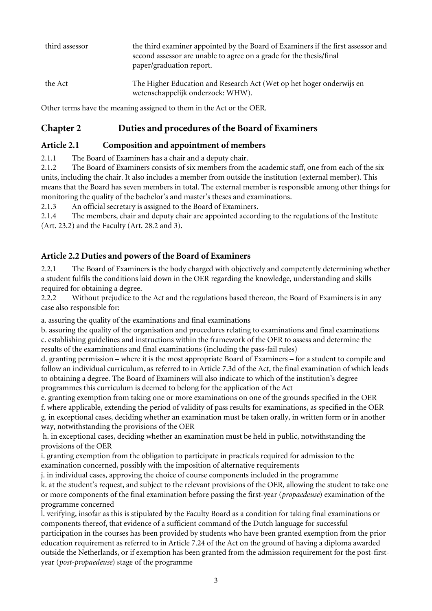third assessor the third examiner appointed by the Board of Examiners if the first assessor and second assessor are unable to agree on a grade for the thesis/final paper/graduation report. the Act The Higher Education and Research Act (Wet op het hoger onderwijs en wetenschappelijk onderzoek: WHW).

Other terms have the meaning assigned to them in the Act or the OER.

# **Chapter 2 Duties and procedures of the Board of Examiners**

### **Article 2.1 Composition and appointment of members**

2.1.1 The Board of Examiners has a chair and a deputy chair.

2.1.2 The Board of Examiners consists of six members from the academic staff, one from each of the six units, including the chair. It also includes a member from outside the institution (external member). This means that the Board has seven members in total. The external member is responsible among other things for monitoring the quality of the bachelor's and master's theses and examinations.

2.1.3 An official secretary is assigned to the Board of Examiners.

2.1.4 The members, chair and deputy chair are appointed according to the regulations of the Institute (Art. 23.2) and the Faculty (Art. 28.2 and 3).

### **Article 2.2 Duties and powers of the Board of Examiners**

2.2.1 The Board of Examiners is the body charged with objectively and competently determining whether a student fulfils the conditions laid down in the OER regarding the knowledge, understanding and skills required for obtaining a degree.

2.2.2 Without prejudice to the Act and the regulations based thereon, the Board of Examiners is in any case also responsible for:

a. assuring the quality of the examinations and final examinations

b. assuring the quality of the organisation and procedures relating to examinations and final examinations c. establishing guidelines and instructions within the framework of the OER to assess and determine the results of the examinations and final examinations (including the pass-fail rules)

d. granting permission – where it is the most appropriate Board of Examiners – for a student to compile and follow an individual curriculum, as referred to in Article 7.3d of the Act, the final examination of which leads to obtaining a degree. The Board of Examiners will also indicate to which of the institution's degree programmes this curriculum is deemed to belong for the application of the Act

e. granting exemption from taking one or more examinations on one of the grounds specified in the OER f. where applicable, extending the period of validity of pass results for examinations, as specified in the OER g. in exceptional cases, deciding whether an examination must be taken orally, in written form or in another way, notwithstanding the provisions of the OER

h. in exceptional cases, deciding whether an examination must be held in public, notwithstanding the provisions of the OER

i. granting exemption from the obligation to participate in practicals required for admission to the examination concerned, possibly with the imposition of alternative requirements

j. in individual cases, approving the choice of course components included in the programme

k. at the student's request, and subject to the relevant provisions of the OER, allowing the student to take one or more components of the final examination before passing the first-year (*propaedeuse*) examination of the programme concerned

l. verifying, insofar as this is stipulated by the Faculty Board as a condition for taking final examinations or components thereof, that evidence of a sufficient command of the Dutch language for successful participation in the courses has been provided by students who have been granted exemption from the prior education requirement as referred to in Article 7.24 of the Act on the ground of having a diploma awarded outside the Netherlands, or if exemption has been granted from the admission requirement for the post-firstyear (*post-propaedeuse*) stage of the programme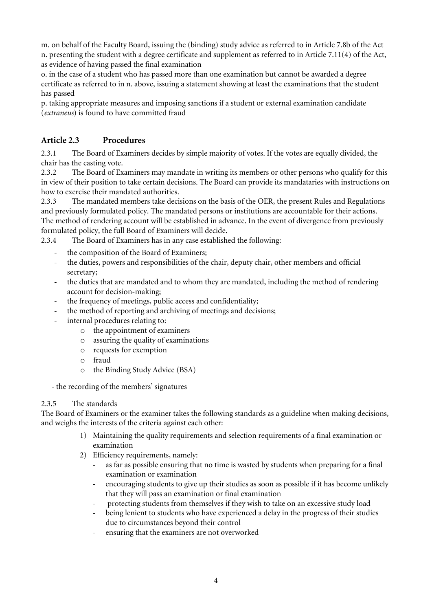m. on behalf of the Faculty Board, issuing the (binding) study advice as referred to in Article 7.8b of the Act n. presenting the student with a degree certificate and supplement as referred to in Article 7.11(4) of the Act, as evidence of having passed the final examination

o. in the case of a student who has passed more than one examination but cannot be awarded a degree certificate as referred to in n. above, issuing a statement showing at least the examinations that the student has passed

p. taking appropriate measures and imposing sanctions if a student or external examination candidate (*extraneus*) is found to have committed fraud

### **Article 2.3 Procedures**

2.3.1 The Board of Examiners decides by simple majority of votes. If the votes are equally divided, the chair has the casting vote.

2.3.2 The Board of Examiners may mandate in writing its members or other persons who qualify for this in view of their position to take certain decisions. The Board can provide its mandataries with instructions on how to exercise their mandated authorities.

2.3.3 The mandated members take decisions on the basis of the OER, the present Rules and Regulations and previously formulated policy. The mandated persons or institutions are accountable for their actions. The method of rendering account will be established in advance. In the event of divergence from previously formulated policy, the full Board of Examiners will decide.

2.3.4 The Board of Examiners has in any case established the following:

- the composition of the Board of Examiners;
- the duties, powers and responsibilities of the chair, deputy chair, other members and official secretary;
- the duties that are mandated and to whom they are mandated, including the method of rendering account for decision-making;
- the frequency of meetings, public access and confidentiality;
- the method of reporting and archiving of meetings and decisions;
- internal procedures relating to:
	- o the appointment of examiners
	- o assuring the quality of examinations
	- o requests for exemption
	- o fraud
	- o the Binding Study Advice (BSA)

- the recording of the members' signatures

#### 2.3.5 The standards

The Board of Examiners or the examiner takes the following standards as a guideline when making decisions, and weighs the interests of the criteria against each other:

- 1) Maintaining the quality requirements and selection requirements of a final examination or examination
- 2) Efficiency requirements, namely:
	- as far as possible ensuring that no time is wasted by students when preparing for a final examination or examination
	- encouraging students to give up their studies as soon as possible if it has become unlikely that they will pass an examination or final examination
	- protecting students from themselves if they wish to take on an excessive study load
	- being lenient to students who have experienced a delay in the progress of their studies due to circumstances beyond their control
	- ensuring that the examiners are not overworked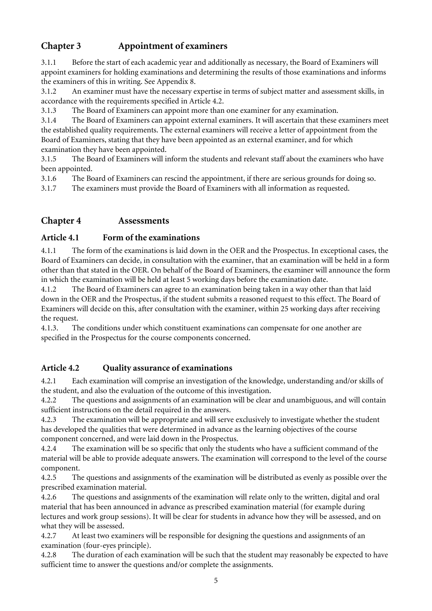# **Chapter 3 Appointment of examiners**

3.1.1 Before the start of each academic year and additionally as necessary, the Board of Examiners will appoint examiners for holding examinations and determining the results of those examinations and informs the examiners of this in writing. See Appendix 8.

3.1.2 An examiner must have the necessary expertise in terms of subject matter and assessment skills, in accordance with the requirements specified in Article 4.2.

3.1.3 The Board of Examiners can appoint more than one examiner for any examination.

3.1.4 The Board of Examiners can appoint external examiners. It will ascertain that these examiners meet the established quality requirements. The external examiners will receive a letter of appointment from the Board of Examiners, stating that they have been appointed as an external examiner, and for which examination they have been appointed.

3.1.5 The Board of Examiners will inform the students and relevant staff about the examiners who have been appointed.

3.1.6 The Board of Examiners can rescind the appointment, if there are serious grounds for doing so.

3.1.7 The examiners must provide the Board of Examiners with all information as requested.

# **Chapter 4 Assessments**

#### **Article 4.1 Form of the examinations**

4.1.1 The form of the examinations is laid down in the OER and the Prospectus. In exceptional cases, the Board of Examiners can decide, in consultation with the examiner, that an examination will be held in a form other than that stated in the OER. On behalf of the Board of Examiners, the examiner will announce the form in which the examination will be held at least 5 working days before the examination date.

4.1.2 The Board of Examiners can agree to an examination being taken in a way other than that laid down in the OER and the Prospectus, if the student submits a reasoned request to this effect. The Board of Examiners will decide on this, after consultation with the examiner, within 25 working days after receiving the request.

4.1.3. The conditions under which constituent examinations can compensate for one another are specified in the Prospectus for the course components concerned.

#### **Article 4.2 Quality assurance of examinations**

4.2.1 Each examination will comprise an investigation of the knowledge, understanding and/or skills of the student, and also the evaluation of the outcome of this investigation.

4.2.2 The questions and assignments of an examination will be clear and unambiguous, and will contain sufficient instructions on the detail required in the answers.

4.2.3 The examination will be appropriate and will serve exclusively to investigate whether the student has developed the qualities that were determined in advance as the learning objectives of the course component concerned, and were laid down in the Prospectus.

4.2.4 The examination will be so specific that only the students who have a sufficient command of the material will be able to provide adequate answers. The examination will correspond to the level of the course component.

4.2.5 The questions and assignments of the examination will be distributed as evenly as possible over the prescribed examination material.

4.2.6 The questions and assignments of the examination will relate only to the written, digital and oral material that has been announced in advance as prescribed examination material (for example during lectures and work group sessions). It will be clear for students in advance how they will be assessed, and on what they will be assessed.

4.2.7 At least two examiners will be responsible for designing the questions and assignments of an examination (four-eyes principle).

4.2.8 The duration of each examination will be such that the student may reasonably be expected to have sufficient time to answer the questions and/or complete the assignments.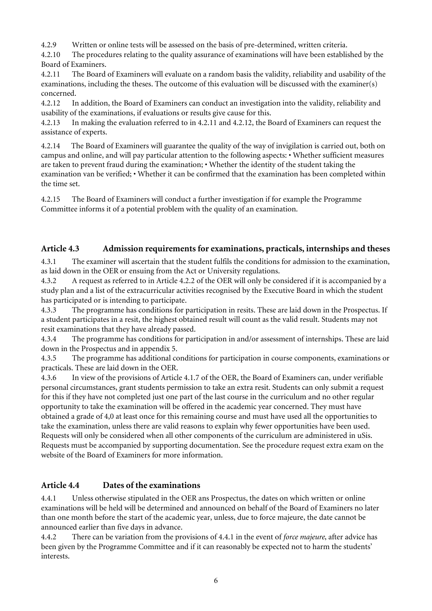4.2.9 Written or online tests will be assessed on the basis of pre-determined, written criteria.

4.2.10 The procedures relating to the quality assurance of examinations will have been established by the Board of Examiners.

4.2.11 The Board of Examiners will evaluate on a random basis the validity, reliability and usability of the examinations, including the theses. The outcome of this evaluation will be discussed with the examiner(s) concerned.

4.2.12 In addition, the Board of Examiners can conduct an investigation into the validity, reliability and usability of the examinations, if evaluations or results give cause for this.

4.2.13 In making the evaluation referred to in 4.2.11 and 4.2.12, the Board of Examiners can request the assistance of experts.

4.2.14 The Board of Examiners will guarantee the quality of the way of invigilation is carried out, both on campus and online, and will pay particular attention to the following aspects: • Whether sufficient measures are taken to prevent fraud during the examination; • Whether the identity of the student taking the examination van be verified; • Whether it can be confirmed that the examination has been completed within the time set.

4.2.15 The Board of Examiners will conduct a further investigation if for example the Programme Committee informs it of a potential problem with the quality of an examination.

#### **Article 4.3 Admission requirements for examinations, practicals, internships and theses**

4.3.1 The examiner will ascertain that the student fulfils the conditions for admission to the examination, as laid down in the OER or ensuing from the Act or University regulations.

4.3.2 A request as referred to in Article 4.2.2 of the OER will only be considered if it is accompanied by a study plan and a list of the extracurricular activities recognised by the Executive Board in which the student has participated or is intending to participate.

4.3.3 The programme has conditions for participation in resits. These are laid down in the Prospectus. If a student participates in a resit, the highest obtained result will count as the valid result. Students may not resit examinations that they have already passed.

4.3.4 The programme has conditions for participation in and/or assessment of internships. These are laid down in the Prospectus and in appendix 5.

4.3.5 The programme has additional conditions for participation in course components, examinations or practicals. These are laid down in the OER.

4.3.6 In view of the provisions of Article 4.1.7 of the OER, the Board of Examiners can, under verifiable personal circumstances, grant students permission to take an extra resit. Students can only submit a request for this if they have not completed just one part of the last course in the curriculum and no other regular opportunity to take the examination will be offered in the academic year concerned. They must have obtained a grade of 4,0 at least once for this remaining course and must have used all the opportunities to take the examination, unless there are valid reasons to explain why fewer opportunities have been used. Requests will only be considered when all other components of the curriculum are administered in uSis. Requests must be accompanied by supporting documentation. See the procedure request extra exam on the website of the Board of Examiners for more information.

#### **Article 4.4 Dates of the examinations**

4.4.1 Unless otherwise stipulated in the OER ans Prospectus, the dates on which written or online examinations will be held will be determined and announced on behalf of the Board of Examiners no later than one month before the start of the academic year, unless, due to force majeure, the date cannot be announced earlier than five days in advance.

4.4.2 There can be variation from the provisions of 4.4.1 in the event of *force majeure*, after advice has been given by the Programme Committee and if it can reasonably be expected not to harm the students' interests.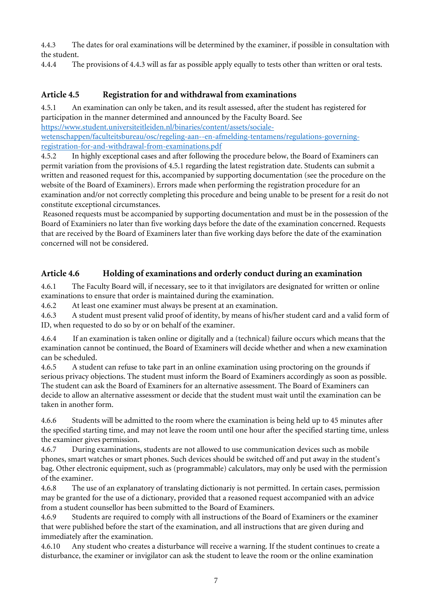4.4.3 The dates for oral examinations will be determined by the examiner, if possible in consultation with the student.

4.4.4 The provisions of 4.4.3 will as far as possible apply equally to tests other than written or oral tests.

### **Article 4.5 Registration for and withdrawal from examinations**

4.5.1 An examination can only be taken, and its result assessed, after the student has registered for participation in the manner determined and announced by the Faculty Board. See [https://www.student.universiteitleiden.nl/binaries/content/assets/sociale](https://www.student.universiteitleiden.nl/binaries/content/assets/sociale-wetenschappen/faculteitsbureau/osc/regeling-aan--en-afmelding-tentamens/regulations-governing-registration-for-and-withdrawal-from-examinations.pdf)[wetenschappen/faculteitsbureau/osc/regeling-aan--en-afmelding-tentamens/regulations-governing](https://www.student.universiteitleiden.nl/binaries/content/assets/sociale-wetenschappen/faculteitsbureau/osc/regeling-aan--en-afmelding-tentamens/regulations-governing-registration-for-and-withdrawal-from-examinations.pdf)[registration-for-and-withdrawal-from-examinations.pdf](https://www.student.universiteitleiden.nl/binaries/content/assets/sociale-wetenschappen/faculteitsbureau/osc/regeling-aan--en-afmelding-tentamens/regulations-governing-registration-for-and-withdrawal-from-examinations.pdf)

4.5.2 In highly exceptional cases and after following the procedure below, the Board of Examiners can permit variation from the provisions of 4.5.1 regarding the latest registration date. Students can submit a written and reasoned request for this, accompanied by supporting documentation (see the procedure on the website of the Board of Examiners). Errors made when performing the registration procedure for an examination and/or not correctly completing this procedure and being unable to be present for a resit do not constitute exceptional circumstances.

Reasoned requests must be accompanied by supporting documentation and must be in the possession of the Board of Examiniers no later than five working days before the date of the examination concerned. Requests that are received by the Board of Examiners later than five working days before the date of the examination concerned will not be considered.

### **Article 4.6 Holding of examinations and orderly conduct during an examination**

4.6.1 The Faculty Board will, if necessary, see to it that invigilators are designated for written or online examinations to ensure that order is maintained during the examination.

4.6.2 At least one examiner must always be present at an examination.

4.6.3 A student must present valid proof of identity, by means of his/her student card and a valid form of ID, when requested to do so by or on behalf of the examiner.

4.6.4 If an examination is taken online or digitally and a (technical) failure occurs which means that the examination cannot be continued, the Board of Examiners will decide whether and when a new examination can be scheduled.

4.6.5 A student can refuse to take part in an online examination using proctoring on the grounds if serious privacy objections. The student must inform the Board of Examiners accordingly as soon as possible. The student can ask the Board of Examiners for an alternative assessment. The Board of Examiners can decide to allow an alternative assessment or decide that the student must wait until the examination can be taken in another form.

4.6.6 Students will be admitted to the room where the examination is being held up to 45 minutes after the specified starting time, and may not leave the room until one hour after the specified starting time, unless the examiner gives permission.

4.6.7 During examinations, students are not allowed to use communication devices such as mobile phones, smart watches or smart phones. Such devices should be switched off and put away in the student's bag. Other electronic equipment, such as (programmable) calculators, may only be used with the permission of the examiner.

4.6.8 The use of an explanatory of translating dictionariy is not permitted. In certain cases, permission may be granted for the use of a dictionary, provided that a reasoned request accompanied with an advice from a student counsellor has been submitted to the Board of Examiners.

4.6.9 Students are required to comply with all instructions of the Board of Examiners or the examiner that were published before the start of the examination, and all instructions that are given during and immediately after the examination.

4.6.10 Any student who creates a disturbance will receive a warning. If the student continues to create a disturbance, the examiner or invigilator can ask the student to leave the room or the online examination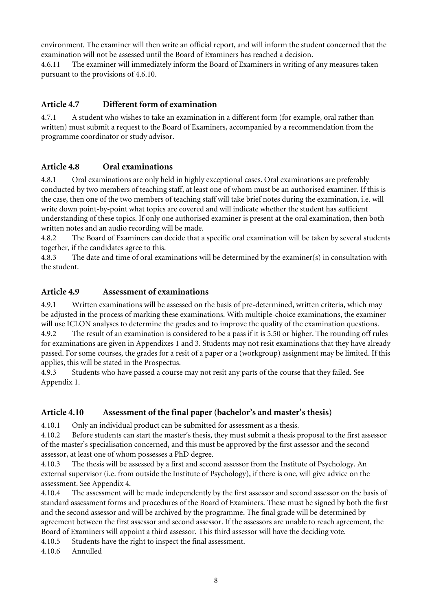environment. The examiner will then write an official report, and will inform the student concerned that the examination will not be assessed until the Board of Examiners has reached a decision.

4.6.11 The examiner will immediately inform the Board of Examiners in writing of any measures taken pursuant to the provisions of 4.6.10.

#### **Article 4.7 Different form of examination**

4.7.1 A student who wishes to take an examination in a different form (for example, oral rather than written) must submit a request to the Board of Examiners, accompanied by a recommendation from the programme coordinator or study advisor.

#### **Article 4.8 Oral examinations**

4.8.1 Oral examinations are only held in highly exceptional cases. Oral examinations are preferably conducted by two members of teaching staff, at least one of whom must be an authorised examiner. If this is the case, then one of the two members of teaching staff will take brief notes during the examination, i.e. will write down point-by-point what topics are covered and will indicate whether the student has sufficient understanding of these topics. If only one authorised examiner is present at the oral examination, then both written notes and an audio recording will be made.

4.8.2 The Board of Examiners can decide that a specific oral examination will be taken by several students together, if the candidates agree to this.

4.8.3 The date and time of oral examinations will be determined by the examiner(s) in consultation with the student.

#### **Article 4.9 Assessment of examinations**

4.9.1 Written examinations will be assessed on the basis of pre-determined, written criteria, which may be adjusted in the process of marking these examinations. With multiple-choice examinations, the examiner will use ICLON analyses to determine the grades and to improve the quality of the examination questions.

4.9.2 The result of an examination is considered to be a pass if it is 5.50 or higher. The rounding off rules for examinations are given in Appendixes 1 and 3. Students may not resit examinations that they have already passed. For some courses, the grades for a resit of a paper or a (workgroup) assignment may be limited. If this applies, this will be stated in the Prospectus.

4.9.3 Students who have passed a course may not resit any parts of the course that they failed. See Appendix 1.

#### **Article 4.10 Assessment of the final paper(bachelor's and master's thesis)**

4.10.1 Only an individual product can be submitted for assessment as a thesis.

4.10.2 Before students can start the master's thesis, they must submit a thesis proposal to the first assessor of the master's specialisation concerned, and this must be approved by the first assessor and the second assessor, at least one of whom possesses a PhD degree.

4.10.3 The thesis will be assessed by a first and second assessor from the Institute of Psychology. An external supervisor (i.e. from outside the Institute of Psychology), if there is one, will give advice on the assessment. See Appendix 4.

4.10.4 The assessment will be made independently by the first assessor and second assessor on the basis of standard assessment forms and procedures of the Board of Examiners. These must be signed by both the first and the second assessor and will be archived by the programme. The final grade will be determined by agreement between the first assessor and second assessor. If the assessors are unable to reach agreement, the Board of Examiners will appoint a third assessor. This third assessor will have the deciding vote.

4.10.5 Students have the right to inspect the final assessment.

4.10.6 Annulled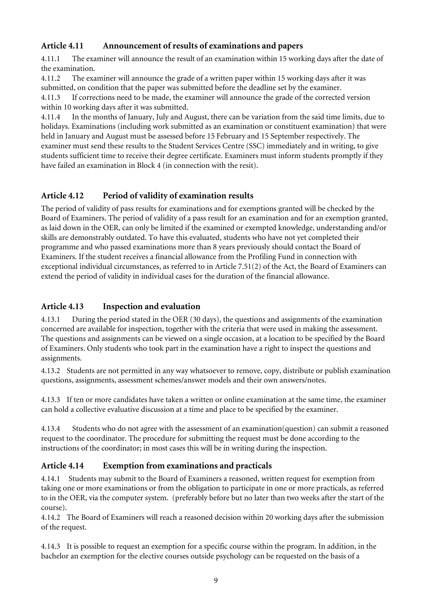### **Article 4.11 Announcement of results of examinations and papers**

4.11.1 The examiner will announce the result of an examination within 15 working days after the date of the examination.

4.11.2 The examiner will announce the grade of a written paper within 15 working days after it was submitted, on condition that the paper was submitted before the deadline set by the examiner.

4.11.3 If corrections need to be made, the examiner will announce the grade of the corrected version within 10 working days after it was submitted.

4.11.4 In the months of January, July and August, there can be variation from the said time limits, due to holidays. Examinations (including work submitted as an examination or constituent examination) that were held in January and August must be assessed before 15 February and 15 September respectively. The examiner must send these results to the Student Services Centre (SSC) immediately and in writing, to give students sufficient time to receive their degree certificate. Examiners must inform students promptly if they have failed an examination in Block 4 (in connection with the resit).

# **Article 4.12 Period of validity of examination results**

The period of validity of pass results for examinations and for exemptions granted will be checked by the Board of Examiners. The period of validity of a pass result for an examination and for an exemption granted, as laid down in the OER, can only be limited if the examined or exempted knowledge, understanding and/or skills are demonstrably outdated. To have this evaluated, students who have not yet completed their programme and who passed examinations more than 8 years previously should contact the Board of Examiners. If the student receives a financial allowance from the Profiling Fund in connection with exceptional individual circumstances, as referred to in Article 7.51(2) of the Act, the Board of Examiners can extend the period of validity in individual cases for the duration of the financial allowance.

### **Article 4.13 Inspection and evaluation**

4.13.1 During the period stated in the OER (30 days), the questions and assignments of the examination concerned are available for inspection, together with the criteria that were used in making the assessment. The questions and assignments can be viewed on a single occasion, at a location to be specified by the Board of Examiners. Only students who took part in the examination have a right to inspect the questions and assignments.

4.13.2 Students are not permitted in any way whatsoever to remove, copy, distribute or publish examination questions, assignments, assessment schemes/answer models and their own answers/notes.

4.13.3 If ten or more candidates have taken a written or online examination at the same time, the examiner can hold a collective evaluative discussion at a time and place to be specified by the examiner.

4.13.4 Students who do not agree with the assessment of an examination(question) can submit a reasoned request to the coordinator. The procedure for submitting the request must be done according to the instructions of the coordinator; in most cases this will be in writing during the inspection.

### **Article 4.14 Exemption from examinations and practicals**

4.14.1 Students may submit to the Board of Examiners a reasoned, written request for exemption from taking one or more examinations or from the obligation to participate in one or more practicals, as referred to in the OER, via the computer system. (preferably before but no later than two weeks after the start of the course).

4.14.2 The Board of Examiners will reach a reasoned decision within 20 working days after the submission of the request.

4.14.3 It is possible to request an exemption for a specific course within the program. In addition, in the bachelor an exemption for the elective courses outside psychology can be requested on the basis of a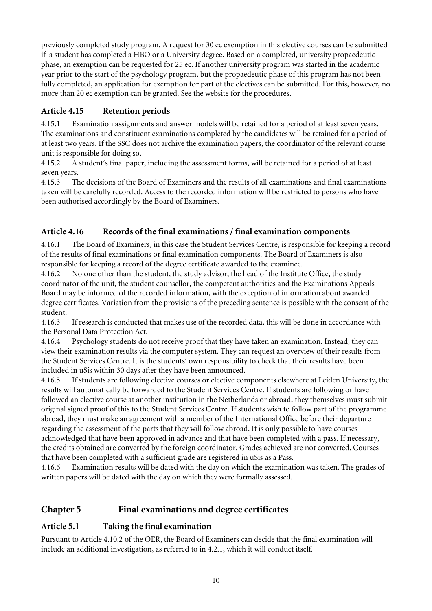previously completed study program. A request for 30 ec exemption in this elective courses can be submitted if a student has completed a HBO or a University degree. Based on a completed, university propaedeutic phase, an exemption can be requested for 25 ec. If another university program was started in the academic year prior to the start of the psychology program, but the propaedeutic phase of this program has not been fully completed, an application for exemption for part of the electives can be submitted. For this, however, no more than 20 ec exemption can be granted. See the website for the procedures.

### **Article 4.15 Retention periods**

4.15.1 Examination assignments and answer models will be retained for a period of at least seven years. The examinations and constituent examinations completed by the candidates will be retained for a period of at least two years. If the SSC does not archive the examination papers, the coordinator of the relevant course unit is responsible for doing so.

4.15.2 A student's final paper, including the assessment forms, will be retained for a period of at least seven years.

4.15.3 The decisions of the Board of Examiners and the results of all examinations and final examinations taken will be carefully recorded. Access to the recorded information will be restricted to persons who have been authorised accordingly by the Board of Examiners.

### **Article 4.16 Records of the final examinations / final examination components**

4.16.1 The Board of Examiners, in this case the Student Services Centre, is responsible for keeping a record of the results of final examinations or final examination components. The Board of Examiners is also responsible for keeping a record of the degree certificate awarded to the examinee.

4.16.2 No one other than the student, the study advisor, the head of the Institute Office, the study coordinator of the unit, the student counsellor, the competent authorities and the Examinations Appeals Board may be informed of the recorded information, with the exception of information about awarded degree certificates. Variation from the provisions of the preceding sentence is possible with the consent of the student.

4.16.3 If research is conducted that makes use of the recorded data, this will be done in accordance with the Personal Data Protection Act.

4.16.4 Psychology students do not receive proof that they have taken an examination. Instead, they can view their examination results via the computer system. They can request an overview of their results from the Student Services Centre. It is the students' own responsibility to check that their results have been included in uSis within 30 days after they have been announced.

4.16.5 If students are following elective courses or elective components elsewhere at Leiden University, the results will automatically be forwarded to the Student Services Centre. If students are following or have followed an elective course at another institution in the Netherlands or abroad, they themselves must submit original signed proof of this to the Student Services Centre. If students wish to follow part of the programme abroad, they must make an agreement with a member of the International Office before their departure regarding the assessment of the parts that they will follow abroad. It is only possible to have courses acknowledged that have been approved in advance and that have been completed with a pass. If necessary, the credits obtained are converted by the foreign coordinator. Grades achieved are not converted. Courses that have been completed with a sufficient grade are registered in uSis as a Pass.

4.16.6 Examination results will be dated with the day on which the examination was taken. The grades of written papers will be dated with the day on which they were formally assessed.

### **Chapter 5 Final examinations and degree certificates**

### **Article 5.1 Taking the final examination**

Pursuant to Article 4.10.2 of the OER, the Board of Examiners can decide that the final examination will include an additional investigation, as referred to in 4.2.1, which it will conduct itself.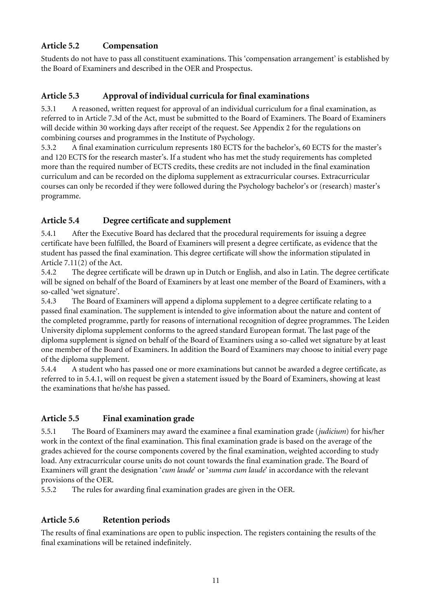### **Article 5.2 Compensation**

Students do not have to pass all constituent examinations. This 'compensation arrangement' is established by the Board of Examiners and described in the OER and Prospectus.

# **Article 5.3 Approval of individual curricula for final examinations**

5.3.1 A reasoned, written request for approval of an individual curriculum for a final examination, as referred to in Article 7.3d of the Act, must be submitted to the Board of Examiners. The Board of Examiners will decide within 30 working days after receipt of the request. See Appendix 2 for the regulations on combining courses and programmes in the Institute of Psychology.

5.3.2 A final examination curriculum represents 180 ECTS for the bachelor's, 60 ECTS for the master's and 120 ECTS for the research master's. If a student who has met the study requirements has completed more than the required number of ECTS credits, these credits are not included in the final examination curriculum and can be recorded on the diploma supplement as extracurricular courses. Extracurricular courses can only be recorded if they were followed during the Psychology bachelor's or (research) master's programme.

# **Article 5.4 Degree certificate and supplement**

5.4.1 After the Executive Board has declared that the procedural requirements for issuing a degree certificate have been fulfilled, the Board of Examiners will present a degree certificate, as evidence that the student has passed the final examination. This degree certificate will show the information stipulated in Article 7.11(2) of the Act.

5.4.2 The degree certificate will be drawn up in Dutch or English, and also in Latin. The degree certificate will be signed on behalf of the Board of Examiners by at least one member of the Board of Examiners, with a so-called 'wet signature'.

5.4.3 The Board of Examiners will append a diploma supplement to a degree certificate relating to a passed final examination. The supplement is intended to give information about the nature and content of the completed programme, partly for reasons of international recognition of degree programmes. The Leiden University diploma supplement conforms to the agreed standard European format. The last page of the diploma supplement is signed on behalf of the Board of Examiners using a so-called wet signature by at least one member of the Board of Examiners. In addition the Board of Examiners may choose to initial every page of the diploma supplement.

5.4.4 A student who has passed one or more examinations but cannot be awarded a degree certificate, as referred to in 5.4.1, will on request be given a statement issued by the Board of Examiners, showing at least the examinations that he/she has passed.

# **Article 5.5 Final examination grade**

5.5.1 The Board of Examiners may award the examinee a final examination grade (*judicium*) for his/her work in the context of the final examination. This final examination grade is based on the average of the grades achieved for the course components covered by the final examination, weighted according to study load. Any extracurricular course units do not count towards the final examination grade. The Board of Examiners will grant the designation '*cum laude*' or '*summa cum laude*' in accordance with the relevant provisions of the OER.

5.5.2 The rules for awarding final examination grades are given in the OER.

### **Article 5.6 Retention periods**

The results of final examinations are open to public inspection. The registers containing the results of the final examinations will be retained indefinitely.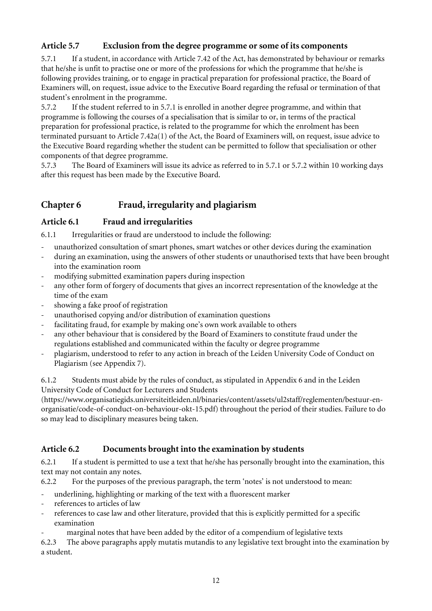### **Article 5.7 Exclusion from the degree programme or some of its components**

5.7.1 If a student, in accordance with Article 7.42 of the Act, has demonstrated by behaviour or remarks that he/she is unfit to practise one or more of the professions for which the programme that he/she is following provides training, or to engage in practical preparation for professional practice, the Board of Examiners will, on request, issue advice to the Executive Board regarding the refusal or termination of that student's enrolment in the programme.

5.7.2 If the student referred to in 5.7.1 is enrolled in another degree programme, and within that programme is following the courses of a specialisation that is similar to or, in terms of the practical preparation for professional practice, is related to the programme for which the enrolment has been terminated pursuant to Article 7.42a(1) of the Act, the Board of Examiners will, on request, issue advice to the Executive Board regarding whether the student can be permitted to follow that specialisation or other components of that degree programme.

5.7.3 The Board of Examiners will issue its advice as referred to in 5.7.1 or 5.7.2 within 10 working days after this request has been made by the Executive Board.

# **Chapter 6 Fraud, irregularity and plagiarism**

### **Article 6.1 Fraud and irregularities**

6.1.1 Irregularities or fraud are understood to include the following:

- unauthorized consultation of smart phones, smart watches or other devices during the examination
- during an examination, using the answers of other students or unauthorised texts that have been brought into the examination room
- modifying submitted examination papers during inspection
- any other form of forgery of documents that gives an incorrect representation of the knowledge at the time of the exam
- showing a fake proof of registration
- unauthorised copying and/or distribution of examination questions
- facilitating fraud, for example by making one's own work available to others
- any other behaviour that is considered by the Board of Examiners to constitute fraud under the regulations established and communicated within the faculty or degree programme
- plagiarism, understood to refer to any action in breach of the Leiden University Code of Conduct on Plagiarism (see Appendix 7).

6.1.2 Students must abide by the rules of conduct, as stipulated in Appendix 6 and in the Leiden University Code of Conduct for Lecturers and Students

(https://www.organisatiegids.universiteitleiden.nl/binaries/content/assets/ul2staff/reglementen/bestuur-enorganisatie/code-of-conduct-on-behaviour-okt-15.pdf) throughout the period of their studies. Failure to do so may lead to disciplinary measures being taken.

#### **Article 6.2 Documents brought into the examination by students**

6.2.1 If a student is permitted to use a text that he/she has personally brought into the examination, this text may not contain any notes.

6.2.2 For the purposes of the previous paragraph, the term 'notes' is not understood to mean:

- underlining, highlighting or marking of the text with a fluorescent marker
- references to articles of law
- references to case law and other literature, provided that this is explicitly permitted for a specific examination
	- marginal notes that have been added by the editor of a compendium of legislative texts

6.2.3 The above paragraphs apply mutatis mutandis to any legislative text brought into the examination by a student.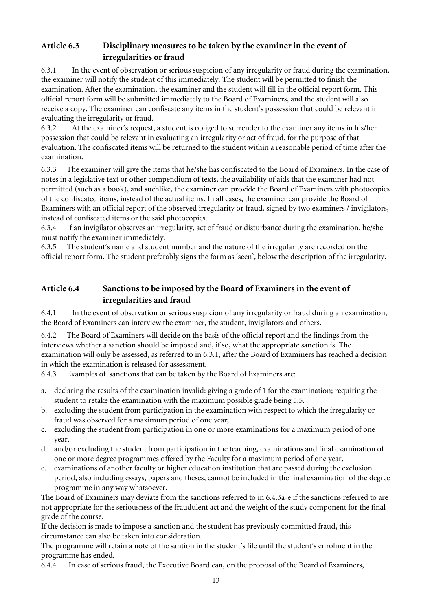### **Article 6.3 Disciplinary measures to be taken by the examinerin the event of irregularities or fraud**

6.3.1 In the event of observation or serious suspicion of any irregularity or fraud during the examination, the examiner will notify the student of this immediately. The student will be permitted to finish the examination. After the examination, the examiner and the student will fill in the official report form. This official report form will be submitted immediately to the Board of Examiners, and the student will also receive a copy. The examiner can confiscate any items in the student's possession that could be relevant in evaluating the irregularity or fraud.

6.3.2 At the examiner's request, a student is obliged to surrender to the examiner any items in his/her possession that could be relevant in evaluating an irregularity or act of fraud, for the purpose of that evaluation. The confiscated items will be returned to the student within a reasonable period of time after the examination.

6.3.3 The examiner will give the items that he/she has confiscated to the Board of Examiners. In the case of notes in a legislative text or other compendium of texts, the availability of aids that the examiner had not permitted (such as a book), and suchlike, the examiner can provide the Board of Examiners with photocopies of the confiscated items, instead of the actual items. In all cases, the examiner can provide the Board of Examiners with an official report of the observed irregularity or fraud, signed by two examiners / invigilators, instead of confiscated items or the said photocopies.

6.3.4 If an invigilator observes an irregularity, act of fraud or disturbance during the examination, he/she must notify the examiner immediately.

6.3.5 The student's name and student number and the nature of the irregularity are recorded on the official report form. The student preferably signs the form as 'seen', below the description of the irregularity.

# **Article 6.4 Sanctions to be imposed by the Board of Examiners in the event of irregularities and fraud**

6.4.1 In the event of observation or serious suspicion of any irregularity or fraud during an examination, the Board of Examiners can interview the examiner, the student, invigilators and others.

6.4.2 The Board of Examiners will decide on the basis of the official report and the findings from the interviews whether a sanction should be imposed and, if so, what the appropriate sanction is. The examination will only be assessed, as referred to in 6.3.1, after the Board of Examiners has reached a decision in which the examination is released for assessment.

6.4.3 Examples of sanctions that can be taken by the Board of Examiners are:

- a. declaring the results of the examination invalid: giving a grade of 1 for the examination; requiring the student to retake the examination with the maximum possible grade being 5.5.
- b. excluding the student from participation in the examination with respect to which the irregularity or fraud was observed for a maximum period of one year;
- c. excluding the student from participation in one or more examinations for a maximum period of one year.
- d. and/or excluding the student from participation in the teaching, examinations and final examination of one or more degree programmes offered by the Faculty for a maximum period of one year.
- e. examinations of another faculty or higher education institution that are passed during the exclusion period, also including essays, papers and theses, cannot be included in the final examination of the degree programme in any way whatsoever.

The Board of Examiners may deviate from the sanctions referred to in 6.4.3a-e if the sanctions referred to are not appropriate for the seriousness of the fraudulent act and the weight of the study component for the final grade of the course.

If the decision is made to impose a sanction and the student has previously committed fraud, this circumstance can also be taken into consideration.

The programme will retain a note of the santion in the student's file until the student's enrolment in the programme has ended.

6.4.4 In case of serious fraud, the Executive Board can, on the proposal of the Board of Examiners,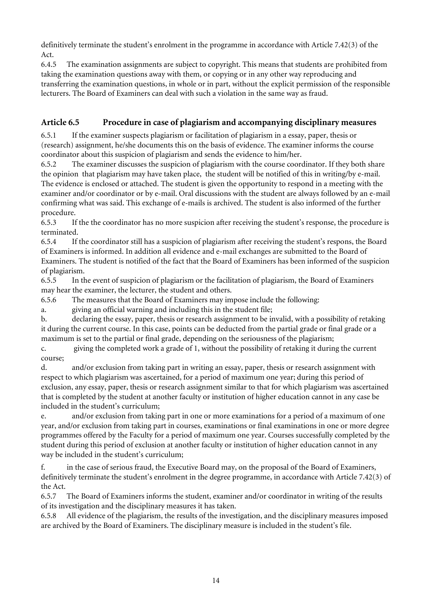definitively terminate the student's enrolment in the programme in accordance with Article 7.42(3) of the Act.

6.4.5 The examination assignments are subject to copyright. This means that students are prohibited from taking the examination questions away with them, or copying or in any other way reproducing and transferring the examination questions, in whole or in part, without the explicit permission of the responsible lecturers. The Board of Examiners can deal with such a violation in the same way as fraud.

### **Article 6.5 Procedure in case of plagiarism and accompanying disciplinary measures**

6.5.1 If the examiner suspects plagiarism or facilitation of plagiarism in a essay, paper, thesis or (research) assignment, he/she documents this on the basis of evidence. The examiner informs the course coordinator about this suspicion of plagiarism and sends the evidence to him/her.

6.5.2 The examiner discusses the suspicion of plagiarism with the course coordinator. If they both share the opinion that plagiarism may have taken place, the student will be notified of this in writing/by e-mail. The evidence is enclosed or attached. The student is given the opportunity to respond in a meeting with the examiner and/or coordinator or by e-mail. Oral discussions with the student are always followed by an e-mail confirming what was said. This exchange of e-mails is archived. The student is also informed of the further procedure.

6.5.3 If the the coordinator has no more suspicion after receiving the student's response, the procedure is terminated.

6.5.4 If the coordinator still has a suspicion of plagiarism after receiving the student's respons, the Board of Examiners is informed. In addition all evidence and e-mail exchanges are submitted to the Board of Examiners. The student is notified of the fact that the Board of Examiners has been informed of the suspicion of plagiarism.

6.5.5 In the event of suspicion of plagiarism or the facilitation of plagiarism, the Board of Examiners may hear the examiner, the lecturer, the student and others.

6.5.6 The measures that the Board of Examiners may impose include the following:

a. giving an official warning and including this in the student file;

b. declaring the essay, paper, thesis or research assignment to be invalid, with a possibility of retaking it during the current course. In this case, points can be deducted from the partial grade or final grade or a maximum is set to the partial or final grade, depending on the seriousness of the plagiarism;

c. giving the completed work a grade of 1, without the possibility of retaking it during the current course;

d. and/or exclusion from taking part in writing an essay, paper, thesis or research assignment with respect to which plagiarism was ascertained, for a period of maximum one year; during this period of exclusion, any essay, paper, thesis or research assignment similar to that for which plagiarism was ascertained that is completed by the student at another faculty or institution of higher education cannot in any case be included in the student's curriculum;

e. and/or exclusion from taking part in one or more examinations for a period of a maximum of one year, and/or exclusion from taking part in courses, examinations or final examinations in one or more degree programmes offered by the Faculty for a period of maximum one year. Courses successfully completed by the student during this period of exclusion at another faculty or institution of higher education cannot in any way be included in the student's curriculum;

f. in the case of serious fraud, the Executive Board may, on the proposal of the Board of Examiners, definitively terminate the student's enrolment in the degree programme, in accordance with Article 7.42(3) of the Act.

6.5.7 The Board of Examiners informs the student, examiner and/or coordinator in writing of the results of its investigation and the disciplinary measures it has taken.

6.5.8 All evidence of the plagiarism, the results of the investigation, and the disciplinary measures imposed are archived by the Board of Examiners. The disciplinary measure is included in the student's file.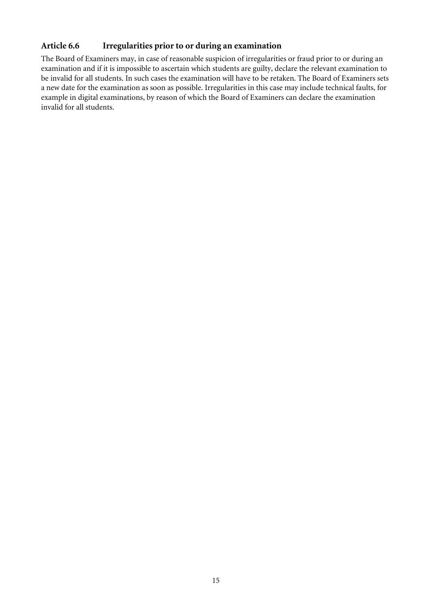# **Article 6.6 Irregularities prior to or during an examination**

The Board of Examiners may, in case of reasonable suspicion of irregularities or fraud prior to or during an examination and if it is impossible to ascertain which students are guilty, declare the relevant examination to be invalid for all students. In such cases the examination will have to be retaken. The Board of Examiners sets a new date for the examination as soon as possible. Irregularities in this case may include technical faults, for example in digital examinations, by reason of which the Board of Examiners can declare the examination invalid for all students.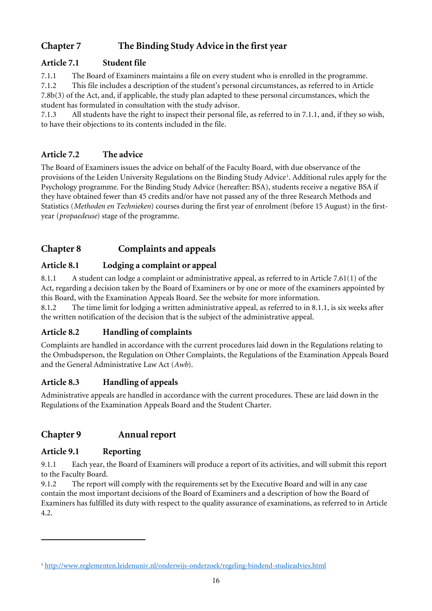# **Chapter 7 The Binding Study Advice in the first year**

# **Article 7.1 Student file**

7.1.1 The Board of Examiners maintains a file on every student who is enrolled in the programme.

7.1.2 This file includes a description of the student's personal circumstances, as referred to in Article 7.8b(3) of the Act, and, if applicable, the study plan adapted to these personal circumstances, which the student has formulated in consultation with the study advisor.

7.1.3 All students have the right to inspect their personal file, as referred to in 7.1.1, and, if they so wish, to have their objections to its contents included in the file.

# **Article 7.2 The advice**

The Board of Examiners issues the advice on behalf of the Faculty Board, with due observance of the provisions of the Leiden University Regulations on the Binding Study Advice<sup>[1](#page-15-0)</sup>. Additional rules apply for the Psychology programme. For the Binding Study Advice (hereafter: BSA), students receive a negative BSA if they have obtained fewer than 45 credits and/or have not passed any of the three Research Methods and Statistics (*Methoden en Technieken*) courses during the first year of enrolment (before 15 August) in the firstyear (*propaedeuse*) stage of the programme.

# **Chapter 8 Complaints and appeals**

# **Article 8.1 Lodging a complaint or appeal**

8.1.1 A student can lodge a complaint or administrative appeal, as referred to in Article 7.61(1) of the Act, regarding a decision taken by the Board of Examiners or by one or more of the examiners appointed by this Board, with the Examination Appeals Board. See the website for more information.

8.1.2 The time limit for lodging a written administrative appeal, as referred to in 8.1.1, is six weeks after the written notification of the decision that is the subject of the administrative appeal.

### **Article 8.2 Handling of complaints**

Complaints are handled in accordance with the current procedures laid down in the Regulations relating to the Ombudsperson, the Regulation on Other Complaints, the Regulations of the Examination Appeals Board and the General Administrative Law Act (*Awb*).

### **Article 8.3 Handling of appeals**

Administrative appeals are handled in accordance with the current procedures. These are laid down in the Regulations of the Examination Appeals Board and the Student Charter.

# **Chapter 9 Annual report**

#### **Article 9.1 Reporting**

-

9.1.1 Each year, the Board of Examiners will produce a report of its activities, and will submit this report to the Faculty Board.

9.1.2 The report will comply with the requirements set by the Executive Board and will in any case contain the most important decisions of the Board of Examiners and a description of how the Board of Examiners has fulfilled its duty with respect to the quality assurance of examinations, as referred to in Article 4.2.

<span id="page-15-0"></span><sup>1</sup> <http://www.reglementen.leidenuniv.nl/onderwijs-onderzoek/regeling-bindend-studieadvies.html>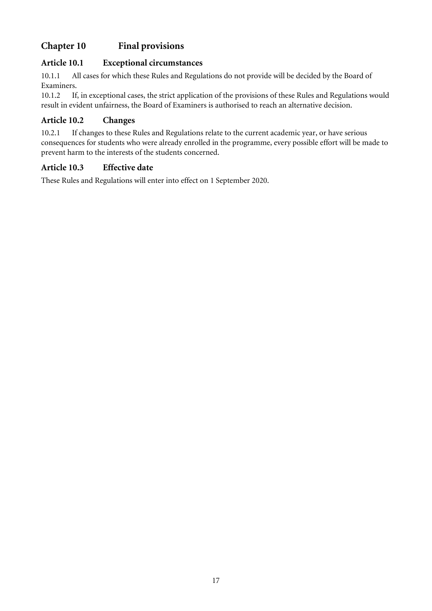# **Chapter 10 Final provisions**

### **Article 10.1 Exceptional circumstances**

10.1.1 All cases for which these Rules and Regulations do not provide will be decided by the Board of Examiners.

10.1.2 If, in exceptional cases, the strict application of the provisions of these Rules and Regulations would result in evident unfairness, the Board of Examiners is authorised to reach an alternative decision.

### **Article 10.2 Changes**

10.2.1 If changes to these Rules and Regulations relate to the current academic year, or have serious consequences for students who were already enrolled in the programme, every possible effort will be made to prevent harm to the interests of the students concerned.

### **Article 10.3 Effective date**

These Rules and Regulations will enter into effect on 1 September 2020.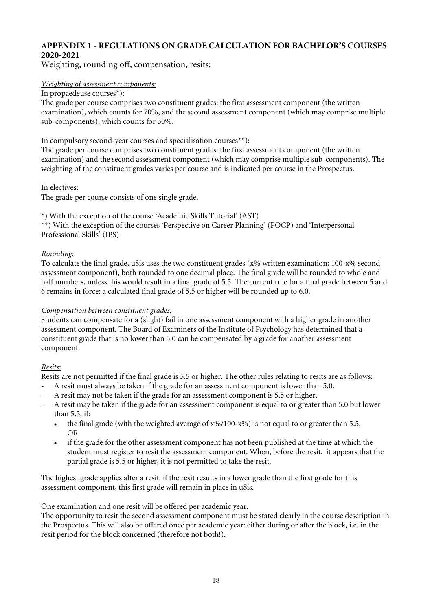### **APPENDIX 1 - REGULATIONS ON GRADE CALCULATION FOR BACHELOR'S COURSES 2020-2021**

Weighting, rounding off, compensation, resits:

#### *Weighting of assessment components:*

In propaedeuse courses\*):

The grade per course comprises two constituent grades: the first assessment component (the written examination), which counts for 70%, and the second assessment component (which may comprise multiple sub-components), which counts for 30%.

In compulsory second-year courses and specialisation courses\*\*):

The grade per course comprises two constituent grades: the first assessment component (the written examination) and the second assessment component (which may comprise multiple sub-components). The weighting of the constituent grades varies per course and is indicated per course in the Prospectus.

In electives:

The grade per course consists of one single grade.

\*) With the exception of the course 'Academic Skills Tutorial' (AST)

\*\*) With the exception of the courses 'Perspective on Career Planning' (POCP) and 'Interpersonal Professional Skills' (IPS)

#### *Rounding:*

To calculate the final grade, uSis uses the two constituent grades ( $x\%$  written examination; 100- $x\%$  second assessment component), both rounded to one decimal place. The final grade will be rounded to whole and half numbers, unless this would result in a final grade of 5.5. The current rule for a final grade between 5 and 6 remains in force: a calculated final grade of 5.5 or higher will be rounded up to 6.0.

#### *Compensation between constituent grades:*

Students can compensate for a (slight) fail in one assessment component with a higher grade in another assessment component. The Board of Examiners of the Institute of Psychology has determined that a constituent grade that is no lower than 5.0 can be compensated by a grade for another assessment component.

#### *Resits:*

Resits are not permitted if the final grade is 5.5 or higher. The other rules relating to resits are as follows:

- A resit must always be taken if the grade for an assessment component is lower than 5.0.
- A resit may not be taken if the grade for an assessment component is 5.5 or higher.
- A resit may be taken if the grade for an assessment component is equal to or greater than 5.0 but lower than 5.5, if:
	- the final grade (with the weighted average of  $x\frac{\cancel{0}}{100-x\%}$ ) is not equal to or greater than 5.5, OR
	- if the grade for the other assessment component has not been published at the time at which the student must register to resit the assessment component. When, before the resit, it appears that the partial grade is 5.5 or higher, it is not permitted to take the resit.

The highest grade applies after a resit: if the resit results in a lower grade than the first grade for this assessment component, this first grade will remain in place in uSis.

One examination and one resit will be offered per academic year.

The opportunity to resit the second assessment component must be stated clearly in the course description in the Prospectus. This will also be offered once per academic year: either during or after the block, i.e. in the resit period for the block concerned (therefore not both!).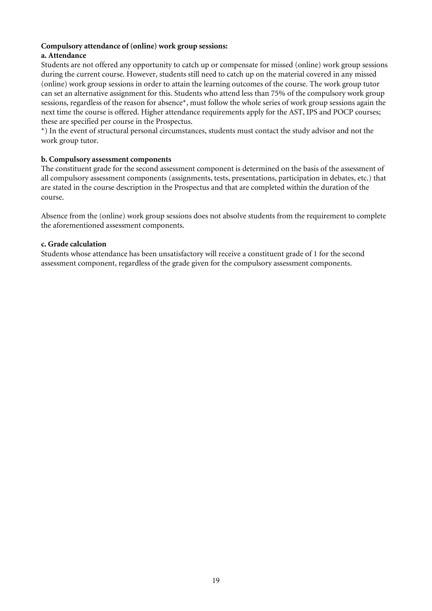#### **Compulsory attendance of (online) work group sessions:**

#### **a. Attendance**

Students are not offered any opportunity to catch up or compensate for missed (online) work group sessions during the current course. However, students still need to catch up on the material covered in any missed (online) work group sessions in order to attain the learning outcomes of the course. The work group tutor can set an alternative assignment for this. Students who attend less than 75% of the compulsory work group sessions, regardless of the reason for absence\*, must follow the whole series of work group sessions again the next time the course is offered. Higher attendance requirements apply for the AST, IPS and POCP courses; these are specified per course in the Prospectus.

\*) In the event of structural personal circumstances, students must contact the study advisor and not the work group tutor.

#### **b. Compulsory assessment components**

The constituent grade for the second assessment component is determined on the basis of the assessment of all compulsory assessment components (assignments, tests, presentations, participation in debates, etc.) that are stated in the course description in the Prospectus and that are completed within the duration of the course.

Absence from the (online) work group sessions does not absolve students from the requirement to complete the aforementioned assessment components.

#### **c. Grade calculation**

Students whose attendance has been unsatisfactory will receive a constituent grade of 1 for the second assessment component, regardless of the grade given for the compulsory assessment components.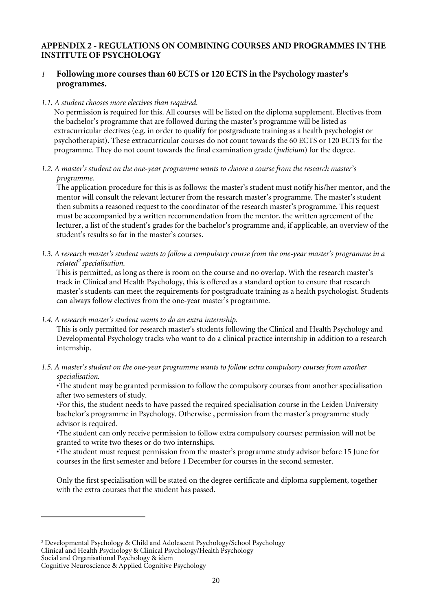#### **APPENDIX 2 - REGULATIONS ON COMBINING COURSES AND PROGRAMMES IN THE INSTITUTE OF PSYCHOLOGY**

#### *1* **Following more courses than 60 ECTS or 120 ECTS in the Psychology master's programmes.**

#### *1.1. A student chooses more electives than required.*

No permission is required for this. All courses will be listed on the diploma supplement. Electives from the bachelor's programme that are followed during the master's programme will be listed as extracurricular electives (e.g. in order to qualify for postgraduate training as a health psychologist or psychotherapist). These extracurricular courses do not count towards the 60 ECTS or 120 ECTS for the programme. They do not count towards the final examination grade (*judicium*) for the degree.

*1.2. A master's student on the one-year programme wants to choose a course from the research master's programme.*

The application procedure for this is as follows: the master's student must notify his/her mentor, and the mentor will consult the relevant lecturer from the research master's programme. The master's student then submits a reasoned request to the coordinator of the research master's programme. This request must be accompanied by a written recommendation from the mentor, the written agreement of the lecturer, a list of the student's grades for the bachelor's programme and, if applicable, an overview of the student's results so far in the master's courses.

*1.3. A research master's student wants to follow a compulsory course from the one-year master's programme in a related[2](#page-19-0) specialisation.*

This is permitted, as long as there is room on the course and no overlap. With the research master's track in Clinical and Health Psychology, this is offered as a standard option to ensure that research master's students can meet the requirements for postgraduate training as a health psychologist. Students can always follow electives from the one-year master's programme.

*1.4. A research master's student wants to do an extra internship.*

This is only permitted for research master's students following the Clinical and Health Psychology and Developmental Psychology tracks who want to do a clinical practice internship in addition to a research internship.

*1.5. A master's student on the one-year programme wants to follow extra compulsory courses from another specialisation.*

•The student may be granted permission to follow the compulsory courses from another specialisation after two semesters of study.

•For this, the student needs to have passed the required specialisation course in the Leiden University bachelor's programme in Psychology. Otherwise , permission from the master's programme study advisor is required.

•The student can only receive permission to follow extra compulsory courses: permission will not be granted to write two theses or do two internships.

•The student must request permission from the master's programme study advisor before 15 June for courses in the first semester and before 1 December for courses in the second semester.

Only the first specialisation will be stated on the degree certificate and diploma supplement, together with the extra courses that the student has passed.

Social and Organisational Psychology & idem

j

<span id="page-19-0"></span><sup>2</sup> Developmental Psychology & Child and Adolescent Psychology/School Psychology

Clinical and Health Psychology & Clinical Psychology/Health Psychology

Cognitive Neuroscience & Applied Cognitive Psychology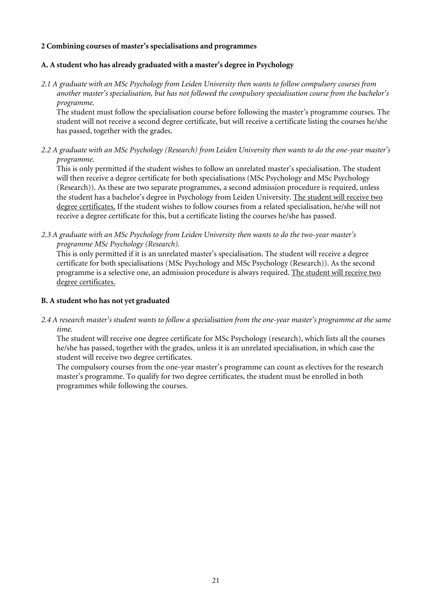#### **2 Combining courses of master's specialisations and programmes**

#### **A. A student who has already graduated with a master's degree in Psychology**

*2.1 A graduate with an MSc Psychology from Leiden University then wants to follow compulsory courses from another master's specialisation, but has not followed the compulsory specialisation course from the bachelor's programme.*

The student must follow the specialisation course before following the master's programme courses. The student will not receive a second degree certificate, but will receive a certificate listing the courses he/she has passed, together with the grades.

*2.2 A graduate with an MSc Psychology (Research) from Leiden University then wants to do the one-year master's programme.*

This is only permitted if the student wishes to follow an unrelated master's specialisation. The student will then receive a degree certificate for both specialisations (MSc Psychology and MSc Psychology (Research)). As these are two separate programmes, a second admission procedure is required, unless the student has a bachelor's degree in Psychology from Leiden University. The student will receive two degree certificates. If the student wishes to follow courses from a related specialisation, he/she will not receive a degree certificate for this, but a certificate listing the courses he/she has passed.

*2.3 A graduate with an MSc Psychology from Leiden University then wants to do the two-year master's programme MSc Psychology (Research).*

This is only permitted if it is an unrelated master's specialisation. The student will receive a degree certificate for both specialisations (MSc Psychology and MSc Psychology (Research)). As the second programme is a selective one, an admission procedure is always required. The student will receive two degree certificates.

#### **B. A student who has not yet graduated**

*2.4 A research master's student wants to follow a specialisation from the one-year master's programme at the same time.*

The student will receive one degree certificate for MSc Psychology (research), which lists all the courses he/she has passed, together with the grades, unless it is an unrelated specialisation, in which case the student will receive two degree certificates.

The compulsory courses from the one-year master's programme can count as electives for the research master's programme. To qualify for two degree certificates, the student must be enrolled in both programmes while following the courses.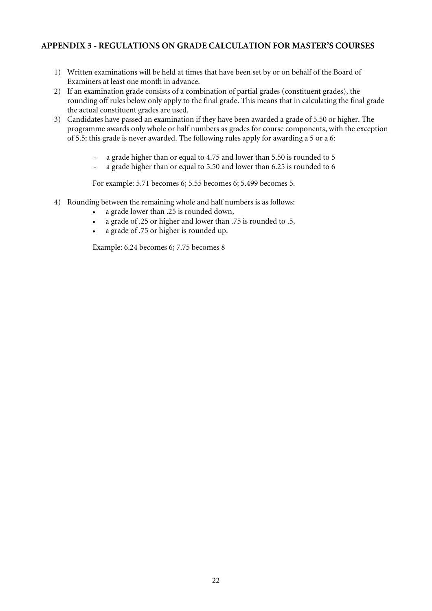### **APPENDIX 3 - REGULATIONS ON GRADE CALCULATION FOR MASTER'S COURSES**

- 1) Written examinations will be held at times that have been set by or on behalf of the Board of Examiners at least one month in advance.
- 2) If an examination grade consists of a combination of partial grades (constituent grades), the rounding off rules below only apply to the final grade. This means that in calculating the final grade the actual constituent grades are used.
- 3) Candidates have passed an examination if they have been awarded a grade of 5.50 or higher. The programme awards only whole or half numbers as grades for course components, with the exception of 5.5: this grade is never awarded. The following rules apply for awarding a 5 or a 6:
	- a grade higher than or equal to 4.75 and lower than 5.50 is rounded to 5
	- a grade higher than or equal to 5.50 and lower than 6.25 is rounded to 6

For example: 5.71 becomes 6; 5.55 becomes 6; 5.499 becomes 5.

- 4) Rounding between the remaining whole and half numbers is as follows:
	- a grade lower than .25 is rounded down,
	- a grade of .25 or higher and lower than .75 is rounded to .5,
	- a grade of .75 or higher is rounded up.

Example: 6.24 becomes 6; 7.75 becomes 8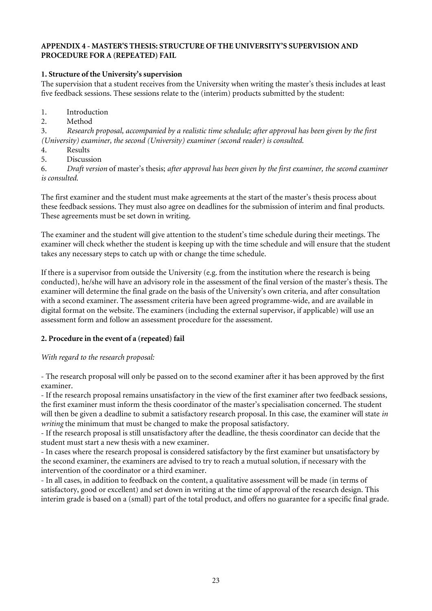#### **APPENDIX 4 - MASTER'S THESIS: STRUCTURE OF THE UNIVERSITY'S SUPERVISION AND PROCEDURE FOR A (REPEATED) FAIL**

#### **1. Structure of the University's supervision**

The supervision that a student receives from the University when writing the master's thesis includes at least five feedback sessions. These sessions relate to the (interim) products submitted by the student:

- 1. Introduction
- 2. Method

3. *Research proposal, accompanied by a realistic time schedule; after approval has been given by the first (University) examiner, the second (University) examiner (second reader) is consulted.*

- 4. Results
- 5. Discussion

6. *Draft version* of master's thesis; *after approval has been given by the first examiner, the second examiner is consulted.*

The first examiner and the student must make agreements at the start of the master's thesis process about these feedback sessions. They must also agree on deadlines for the submission of interim and final products. These agreements must be set down in writing.

The examiner and the student will give attention to the student's time schedule during their meetings. The examiner will check whether the student is keeping up with the time schedule and will ensure that the student takes any necessary steps to catch up with or change the time schedule.

If there is a supervisor from outside the University (e.g. from the institution where the research is being conducted), he/she will have an advisory role in the assessment of the final version of the master's thesis. The examiner will determine the final grade on the basis of the University's own criteria, and after consultation with a second examiner. The assessment criteria have been agreed programme-wide, and are available in digital format on the website. The examiners (including the external supervisor, if applicable) will use an assessment form and follow an assessment procedure for the assessment.

#### **2. Procedure in the event of a (repeated) fail**

#### *With regard to the research proposal:*

- The research proposal will only be passed on to the second examiner after it has been approved by the first examiner.

- If the research proposal remains unsatisfactory in the view of the first examiner after two feedback sessions, the first examiner must inform the thesis coordinator of the master's specialisation concerned. The student will then be given a deadline to submit a satisfactory research proposal. In this case, the examiner will state *in writing* the minimum that must be changed to make the proposal satisfactory.

- If the research proposal is still unsatisfactory after the deadline, the thesis coordinator can decide that the student must start a new thesis with a new examiner.

- In cases where the research proposal is considered satisfactory by the first examiner but unsatisfactory by the second examiner, the examiners are advised to try to reach a mutual solution, if necessary with the intervention of the coordinator or a third examiner.

- In all cases, in addition to feedback on the content, a qualitative assessment will be made (in terms of satisfactory, good or excellent) and set down in writing at the time of approval of the research design. This interim grade is based on a (small) part of the total product, and offers no guarantee for a specific final grade.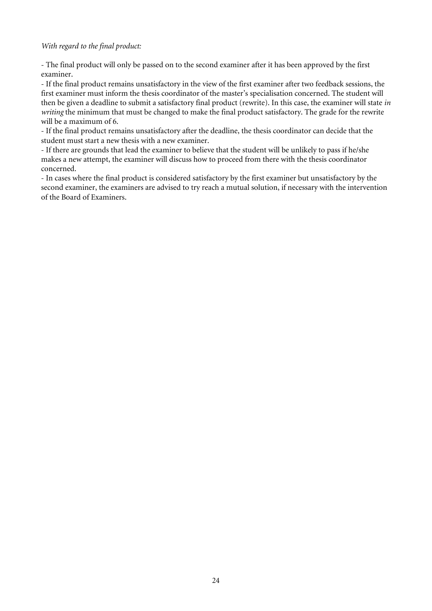#### *With regard to the final product:*

- The final product will only be passed on to the second examiner after it has been approved by the first examiner.

- If the final product remains unsatisfactory in the view of the first examiner after two feedback sessions, the first examiner must inform the thesis coordinator of the master's specialisation concerned. The student will then be given a deadline to submit a satisfactory final product (rewrite). In this case, the examiner will state *in writing* the minimum that must be changed to make the final product satisfactory. The grade for the rewrite will be a maximum of 6.

- If the final product remains unsatisfactory after the deadline, the thesis coordinator can decide that the student must start a new thesis with a new examiner.

- If there are grounds that lead the examiner to believe that the student will be unlikely to pass if he/she makes a new attempt, the examiner will discuss how to proceed from there with the thesis coordinator concerned.

- In cases where the final product is considered satisfactory by the first examiner but unsatisfactory by the second examiner, the examiners are advised to try reach a mutual solution, if necessary with the intervention of the Board of Examiners.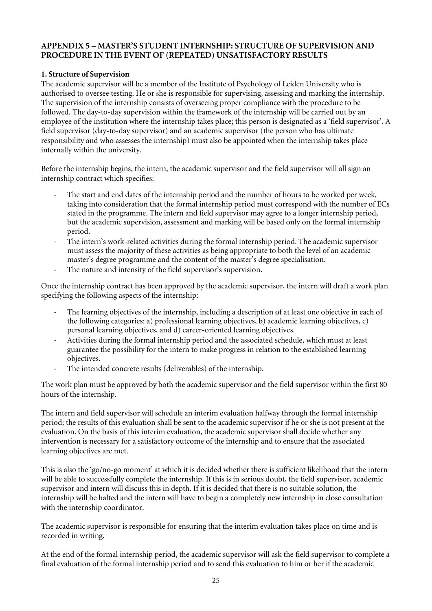#### **APPENDIX 5 – MASTER'S STUDENT INTERNSHIP: STRUCTURE OF SUPERVISION AND PROCEDURE IN THE EVENT OF (REPEATED) UNSATISFACTORY RESULTS**

#### **1. Structure of Supervision**

The academic supervisor will be a member of the Institute of Psychology of Leiden University who is authorised to oversee testing. He or she is responsible for supervising, assessing and marking the internship. The supervision of the internship consists of overseeing proper compliance with the procedure to be followed. The day-to-day supervision within the framework of the internship will be carried out by an employee of the institution where the internship takes place; this person is designated as a 'field supervisor'. A field supervisor (day-to-day supervisor) and an academic supervisor (the person who has ultimate responsibility and who assesses the internship) must also be appointed when the internship takes place internally within the university.

Before the internship begins, the intern, the academic supervisor and the field supervisor will all sign an internship contract which specifies:

- The start and end dates of the internship period and the number of hours to be worked per week, taking into consideration that the formal internship period must correspond with the number of ECs stated in the programme. The intern and field supervisor may agree to a longer internship period, but the academic supervision, assessment and marking will be based only on the formal internship period.
- The intern's work-related activities during the formal internship period. The academic supervisor must assess the majority of these activities as being appropriate to both the level of an academic master's degree programme and the content of the master's degree specialisation.
- The nature and intensity of the field supervisor's supervision.

Once the internship contract has been approved by the academic supervisor, the intern will draft a work plan specifying the following aspects of the internship:

- The learning objectives of the internship, including a description of at least one objective in each of the following categories: a) professional learning objectives, b) academic learning objectives, c) personal learning objectives, and d) career-oriented learning objectives.
- Activities during the formal internship period and the associated schedule, which must at least guarantee the possibility for the intern to make progress in relation to the established learning objectives.
- The intended concrete results (deliverables) of the internship.

The work plan must be approved by both the academic supervisor and the field supervisor within the first 80 hours of the internship.

The intern and field supervisor will schedule an interim evaluation halfway through the formal internship period; the results of this evaluation shall be sent to the academic supervisor if he or she is not present at the evaluation. On the basis of this interim evaluation, the academic supervisor shall decide whether any intervention is necessary for a satisfactory outcome of the internship and to ensure that the associated learning objectives are met.

This is also the 'go/no-go moment' at which it is decided whether there is sufficient likelihood that the intern will be able to successfully complete the internship. If this is in serious doubt, the field supervisor, academic supervisor and intern will discuss this in depth. If it is decided that there is no suitable solution, the internship will be halted and the intern will have to begin a completely new internship in close consultation with the internship coordinator.

The academic supervisor is responsible for ensuring that the interim evaluation takes place on time and is recorded in writing.

At the end of the formal internship period, the academic supervisor will ask the field supervisor to complete a final evaluation of the formal internship period and to send this evaluation to him or her if the academic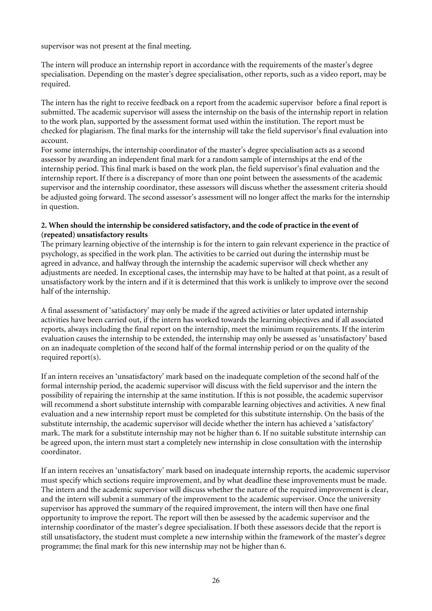supervisor was not present at the final meeting.

The intern will produce an internship report in accordance with the requirements of the master's degree specialisation. Depending on the master's degree specialisation, other reports, such as a video report, may be required.

The intern has the right to receive feedback on a report from the academic supervisor before a final report is submitted. The academic supervisor will assess the internship on the basis of the internship report in relation to the work plan, supported by the assessment format used within the institution. The report must be checked for plagiarism. The final marks for the internship will take the field supervisor's final evaluation into account.

For some internships, the internship coordinator of the master's degree specialisation acts as a second assessor by awarding an independent final mark for a random sample of internships at the end of the internship period. This final mark is based on the work plan, the field supervisor's final evaluation and the internship report. If there is a discrepancy of more than one point between the assessments of the academic supervisor and the internship coordinator, these assessors will discuss whether the assessment criteria should be adjusted going forward. The second assessor's assessment will no longer affect the marks for the internship in question.

#### **2. When should the internship be considered satisfactory, and the code of practice in the event of (repeated) unsatisfactory results**

The primary learning objective of the internship is for the intern to gain relevant experience in the practice of psychology, as specified in the work plan. The activities to be carried out during the internship must be agreed in advance, and halfway through the internship the academic supervisor will check whether any adjustments are needed. In exceptional cases, the internship may have to be halted at that point, as a result of unsatisfactory work by the intern and if it is determined that this work is unlikely to improve over the second half of the internship.

A final assessment of 'satisfactory' may only be made if the agreed activities or later updated internship activities have been carried out, if the intern has worked towards the learning objectives and if all associated reports, always including the final report on the internship, meet the minimum requirements. If the interim evaluation causes the internship to be extended, the internship may only be assessed as 'unsatisfactory' based on an inadequate completion of the second half of the formal internship period or on the quality of the required report(s).

If an intern receives an 'unsatisfactory' mark based on the inadequate completion of the second half of the formal internship period, the academic supervisor will discuss with the field supervisor and the intern the possibility of repairing the internship at the same institution. If this is not possible, the academic supervisor will recommend a short substitute internship with comparable learning objectives and activities. A new final evaluation and a new internship report must be completed for this substitute internship. On the basis of the substitute internship, the academic supervisor will decide whether the intern has achieved a 'satisfactory' mark. The mark for a substitute internship may not be higher than 6. If no suitable substitute internship can be agreed upon, the intern must start a completely new internship in close consultation with the internship coordinator.

If an intern receives an 'unsatisfactory' mark based on inadequate internship reports, the academic supervisor must specify which sections require improvement, and by what deadline these improvements must be made. The intern and the academic supervisor will discuss whether the nature of the required improvement is clear, and the intern will submit a summary of the improvement to the academic supervisor. Once the university supervisor has approved the summary of the required improvement, the intern will then have one final opportunity to improve the report. The report will then be assessed by the academic supervisor and the internship coordinator of the master's degree specialisation. If both these assessors decide that the report is still unsatisfactory, the student must complete a new internship within the framework of the master's degree programme; the final mark for this new internship may not be higher than 6.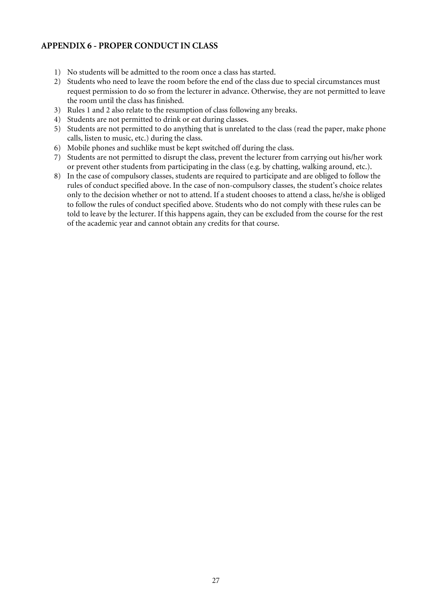### **APPENDIX 6 - PROPER CONDUCT IN CLASS**

- 1) No students will be admitted to the room once a class has started.
- 2) Students who need to leave the room before the end of the class due to special circumstances must request permission to do so from the lecturer in advance. Otherwise, they are not permitted to leave the room until the class has finished.
- 3) Rules 1 and 2 also relate to the resumption of class following any breaks.
- 4) Students are not permitted to drink or eat during classes.
- 5) Students are not permitted to do anything that is unrelated to the class (read the paper, make phone calls, listen to music, etc.) during the class.
- 6) Mobile phones and suchlike must be kept switched off during the class.
- 7) Students are not permitted to disrupt the class, prevent the lecturer from carrying out his/her work or prevent other students from participating in the class (e.g. by chatting, walking around, etc.).
- 8) In the case of compulsory classes, students are required to participate and are obliged to follow the rules of conduct specified above. In the case of non-compulsory classes, the student's choice relates only to the decision whether or not to attend. If a student chooses to attend a class, he/she is obliged to follow the rules of conduct specified above. Students who do not comply with these rules can be told to leave by the lecturer. If this happens again, they can be excluded from the course for the rest of the academic year and cannot obtain any credits for that course.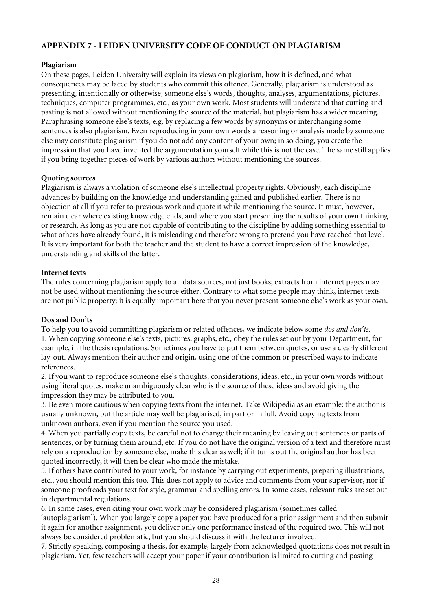### **APPENDIX 7 - LEIDEN UNIVERSITY CODE OF CONDUCT ON PLAGIARISM**

#### **Plagiarism**

On these pages, Leiden University will explain its views on plagiarism, how it is defined, and what consequences may be faced by students who commit this offence. Generally, plagiarism is understood as presenting, intentionally or otherwise, someone else's words, thoughts, analyses, argumentations, pictures, techniques, computer programmes, etc., as your own work. Most students will understand that cutting and pasting is not allowed without mentioning the source of the material, but plagiarism has a wider meaning. Paraphrasing someone else's texts, e.g. by replacing a few words by synonyms or interchanging some sentences is also plagiarism. Even reproducing in your own words a reasoning or analysis made by someone else may constitute plagiarism if you do not add any content of your own; in so doing, you create the impression that you have invented the argumentation yourself while this is not the case. The same still applies if you bring together pieces of work by various authors without mentioning the sources.

#### **Quoting sources**

Plagiarism is always a violation of someone else's intellectual property rights. Obviously, each discipline advances by building on the knowledge and understanding gained and published earlier. There is no objection at all if you refer to previous work and quote it while mentioning the source. It must, however, remain clear where existing knowledge ends, and where you start presenting the results of your own thinking or research. As long as you are not capable of contributing to the discipline by adding something essential to what others have already found, it is misleading and therefore wrong to pretend you have reached that level. It is very important for both the teacher and the student to have a correct impression of the knowledge, understanding and skills of the latter.

#### **Internet texts**

The rules concerning plagiarism apply to all data sources, not just books; extracts from internet pages may not be used without mentioning the source either. Contrary to what some people may think, internet texts are not public property; it is equally important here that you never present someone else's work as your own.

#### **Dos and Don'ts**

To help you to avoid committing plagiarism or related offences, we indicate below some *dos and don'ts.* 1. When copying someone else's texts, pictures, graphs, etc., obey the rules set out by your Department, for example, in the thesis regulations. Sometimes you have to put them between quotes, or use a clearly different lay-out. Always mention their author and origin, using one of the common or prescribed ways to indicate references.

2. If you want to reproduce someone else's thoughts, considerations, ideas, etc., in your own words without using literal quotes, make unambiguously clear who is the source of these ideas and avoid giving the impression they may be attributed to you.

3. Be even more cautious when copying texts from the internet. Take Wikipedia as an example: the author is usually unknown, but the article may well be plagiarised, in part or in full. Avoid copying texts from unknown authors, even if you mention the source you used.

4. When you partially copy texts, be careful not to change their meaning by leaving out sentences or parts of sentences, or by turning them around, etc. If you do not have the original version of a text and therefore must rely on a reproduction by someone else, make this clear as well; if it turns out the original author has been quoted incorrectly, it will then be clear who made the mistake.

5. If others have contributed to your work, for instance by carrying out experiments, preparing illustrations, etc., you should mention this too. This does not apply to advice and comments from your supervisor, nor if someone proofreads your text for style, grammar and spelling errors. In some cases, relevant rules are set out in departmental regulations.

6. In some cases, even citing your own work may be considered plagiarism (sometimes called 'autoplagiarism'). When you largely copy a paper you have produced for a prior assignment and then submit it again for another assignment, you deliver only one performance instead of the required two. This will not always be considered problematic, but you should discuss it with the lecturer involved.

7. Strictly speaking, composing a thesis, for example, largely from acknowledged quotations does not result in plagiarism. Yet, few teachers will accept your paper if your contribution is limited to cutting and pasting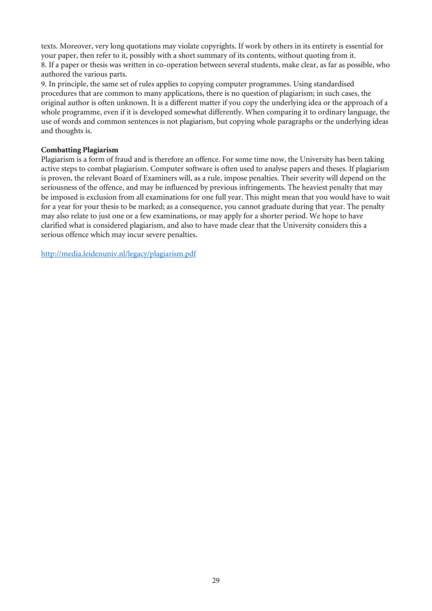texts. Moreover, very long quotations may violate copyrights. If work by others in its entirety is essential for your paper, then refer to it, possibly with a short summary of its contents, without quoting from it. 8. If a paper or thesis was written in co-operation between several students, make clear, as far as possible, who authored the various parts.

9. In principle, the same set of rules applies to copying computer programmes. Using standardised procedures that are common to many applications, there is no question of plagiarism; in such cases, the original author is often unknown. It is a different matter if you copy the underlying idea or the approach of a whole programme, even if it is developed somewhat differently. When comparing it to ordinary language, the use of words and common sentences is not plagiarism, but copying whole paragraphs or the underlying ideas and thoughts is.

#### **Combatting Plagiarism**

Plagiarism is a form of fraud and is therefore an offence. For some time now, the University has been taking active steps to combat plagiarism. Computer software is often used to analyse papers and theses. If plagiarism is proven, the relevant Board of Examiners will, as a rule, impose penalties. Their severity will depend on the seriousness of the offence, and may be influenced by previous infringements. The heaviest penalty that may be imposed is exclusion from all examinations for one full year. This might mean that you would have to wait for a year for your thesis to be marked; as a consequence, you cannot graduate during that year. The penalty may also relate to just one or a few examinations, or may apply for a shorter period. We hope to have clarified what is considered plagiarism, and also to have made clear that the University considers this a serious offence which may incur severe penalties.

<http://media.leidenuniv.nl/legacy/plagiarism.pdf>